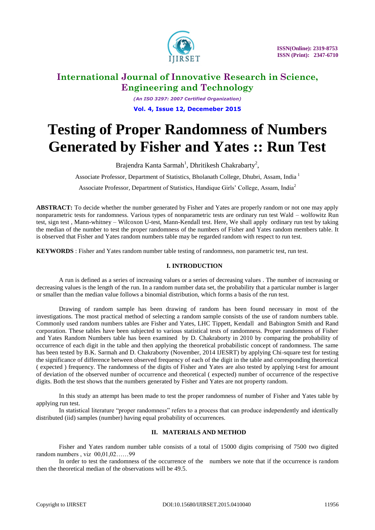

# **International Journal of Innovative Research in Science, Engineering and Technology**

*(An ISO 3297: 2007 Certified Organization)* **Vol. 4, Issue 12, Decemeber 2015**

# **Testing of Proper Randomness of Numbers Generated by Fisher and Yates :: Run Test**

Brajendra Kanta Sarmah<sup>1</sup>, Dhritikesh Chakrabarty<sup>2</sup>,

Associate Professor, Department of Statistics, Bholanath College, Dhubri, Assam, India <sup>1</sup>

Associate Professor, Department of Statistics, Handique Girls' College, Assam, India<sup>2</sup>

**ABSTRACT:** To decide whether the number generated by Fisher and Yates are properly random or not one may apply nonparametric tests for randomness. Various types of nonparametric tests are ordinary run test Wald – wolfowitz Run test, sign test , Mann-whitney – Wilcoxon U-test, Mann-Kendall test. Here, We shall apply ordinary run test by taking the median of the number to test the proper randomness of the numbers of Fisher and Yates random members table. It is observed that Fisher and Yates random numbers table may be regarded random with respect to run test.

**KEYWORDS** : Fisher and Yates random number table testing of randomness, non parametric test, run test.

## **I. INTRODUCTION**

A run is defined as a series of increasing values or a series of decreasing values . The number of increasing or decreasing values is the length of the run. In a random number data set, the probability that a particular number is larger or smaller than the median value follows a binomial distribution, which forms a basis of the run test.

Drawing of random sample has been drawing of random has been found necessary in most of the investigations. The most practical method of selecting a random sample consists of the use of random numbers table. Commonly used random numbers tables are Fisher and Yates, LHC Tippett, Kendall and Babington Smith and Rand corporation. These tables have been subjected to various statistical tests of randomness. Proper randomness of Fisher and Yates Random Numbers table has been examined by D. Chakraborty in 2010 by comparing the probability of occurrence of each digit in the table and then applying the theoretical probabilistic concept of randomness. The same has been tested by B.K. Sarmah and D. Chakraborty (November, 2014 IJESRT) by applying Chi-square test for testing the significance of difference between observed frequency of each of the digit in the table and corresponding theoretical ( expected ) frequency. The randomness of the digits of Fisher and Yates are also tested by applying t-test for amount of deviation of the observed number of occurrence and theoretical ( expected) number of occurrence of the respective digits. Both the test shows that the numbers generated by Fisher and Yates are not property random.

In this study an attempt has been made to test the proper randomness of number of Fisher and Yates table by applying run test.

In statistical literature "proper randomness" refers to a process that can produce independently and identically distributed (iid) samples (number) having equal probability of occurrences.

#### **II. MATERIALS AND METHOD**

Fisher and Yates random number table consists of a total of 15000 digits comprising of 7500 two digited random numbers , viz 00,01,02……99

In order to test the randomness of the occurrence of the numbers we note that if the occurrence is random then the theoretical median of the observations will be 49.5.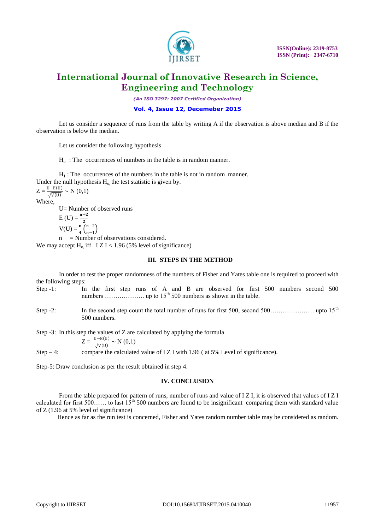

# **International Journal of Innovative Research in Science, Engineering and Technology**

*(An ISO 3297: 2007 Certified Organization)*

## **Vol. 4, Issue 12, Decemeber 2015**

Let us consider a sequence of runs from the table by writing A if the observation is above median and B if the observation is below the median.

Let us consider the following hypothesis

 $H<sub>o</sub>$ : The occurrences of numbers in the table is in random manner.

 $H<sub>1</sub>$ : The occurrences of the numbers in the table is not in random manner. Under the null hypothesis  $H_0$ , the test statistic is given by.

 $Z = \frac{U - E(U)}{\sqrt{V(U)}} \sim N(0,1)$ Where,

U= Number of observed runs  $E (U) = \frac{n+2}{n}$  $V(U) = \frac{n}{4} \left( \frac{n-2}{n-1} \right)$  $\frac{n-2}{n-1}$ = Number of observations considered.

We may accept H<sub>o</sub> iff  $I Z I < 1.96$  (5% level of significance)

#### **III. STEPS IN THE METHOD**

In order to test the proper randomness of the numbers of Fisher and Yates table one is required to proceed with the following steps:

- Step -1: In the first step runs of A and B are observed for first 500 numbers second 500 numbers ………………. up to 15th 500 numbers as shown in the table.
- Step -2: In the second step count the total number of runs for first 500, second 500…………………… upto 15<sup>th</sup> 500 numbers.

Step -3: In this step the values of Z are calculated by applying the formula

$$
Z = \frac{0 - E(0)}{\sqrt{V(0)}} \sim N(0,1)
$$

Step  $-4$ : compare the calculated value of I Z I with 1.96 ( at 5% Level of significance).

Step-5: Draw conclusion as per the result obtained in step 4.

#### **IV. CONCLUSION**

From the table prepared for pattern of runs, number of runs and value of I Z I, it is observed that values of I Z I calculated for first 500...... to last  $15<sup>th</sup> 500$  numbers are found to be insignificant comparing them with standard value of Z (1.96 at 5% level of significance)

Hence as far as the run test is concerned, Fisher and Yates random number table may be considered as random.